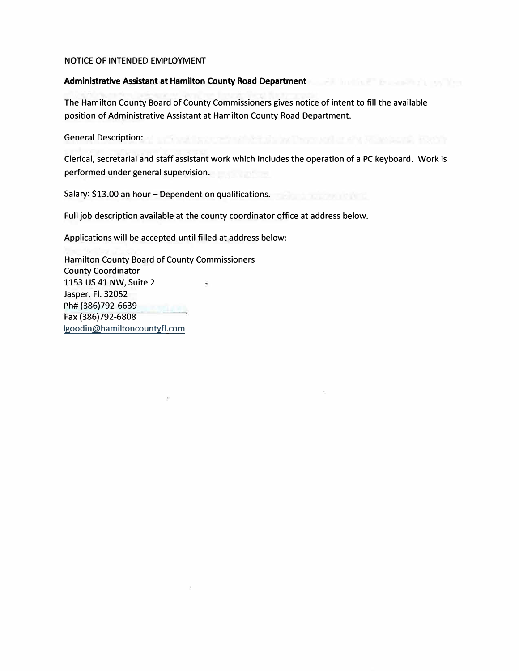### NOTICE OF INTENDED EMPLOYMENT

### Administrative Assistant at Hamilton County Road Department

The Hamilton County Board of County Commissioners gives notice of intent to fill the available position of Administrative Assistant at Hamilton County Road Department.

General Description: We see the second second second second second second second second second second second second

Clerical, secretarial and staff assistant work which includes the operation of a PC keyboard. Work is performed under general supervision.

Salary: \$13.00 an hour - Dependent on qualifications.

Full job description available at the county coordinator office at address below.

Applications will be accepted until filled at address below:

Hamilton County Board of County Commissioners County Coordinator 1153 US 41 NW, Suite 2 蓄 Jasper, Fl. 32052 Ph# (386)792-6639 Fax (386)792-6808 lgoodin@hamiltoncountyfl.com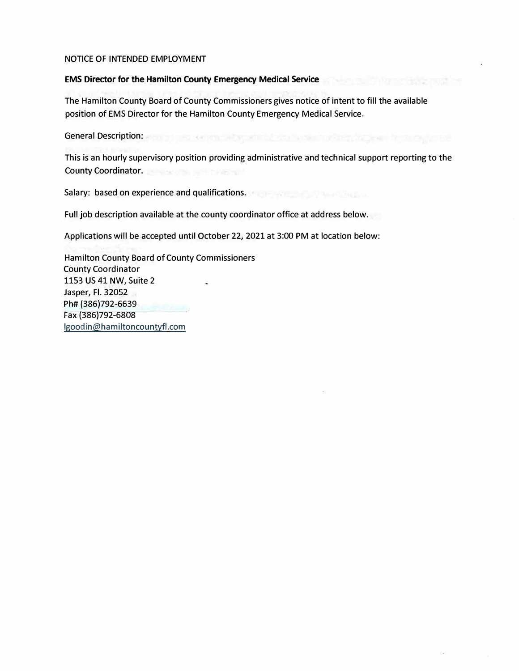#### NOTICE OF INTENDED EMPLOYMENT

### EMS Director for the Hamilton County Emergency Medical Service

The Hamilton County Board of County Commissioners gives notice of intent to fill the available position of EMS Director for the Hamilton County Emergency Medical Service.

General Description: **Editor: Editor: Editor: Editor: Editor: Editor: Editor: Editor: Editor: Editor: Editor: Editor: Editor: Editor: Editor: Editor: Editor: Editor: Editor: Editor: Editor: Editor: Editor: Editor: Editor:** 

isko subbe

This is an hourly supervisory position providing administrative and technical support reporting to the **County Coordinator.** 

Salary: based on experience and qualifications.

Full job description available at the county coordinator office at address below.

Applications will be accepted until October 22, 2021 at 3:00 PM at location below:

Hamilton County Board of County Commissioners County Coordinator 1153 US 41 NW, Suite 2 ä, Jasper, Fl. 32052 Ph# {386)792-6639 Fax (386)792-6808 lgoodin@hamiltoncountyfl.com